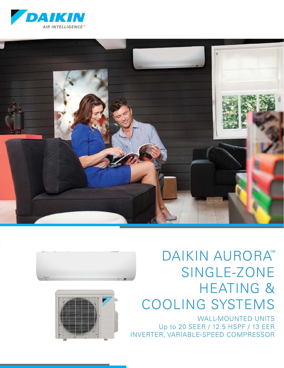







# SINGLE-ZONE HEATING & COOLING SYSTEMS DAIKIN AURORA™

WALL-MOUNTED UNITS Up to 20 SEER / 12.5 HSPF / 13 EER INVERTER, VARIABLE-SPEED COMPRESSOR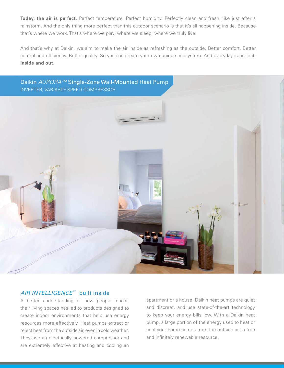**Today, the air is perfect.** Perfect temperature. Perfect humidity. Perfectly clean and fresh, like just after a rainstorm. And the only thing more perfect than this outdoor scenario is that it's all happening inside. Because that's where we work. That's where we play, where we sleep, where we truly live.

And that's why at Daikin, we aim to make the air inside as refreshing as the outside. Better comfort. Better control and efficiency. Better quality. So you can create your own unique ecosystem. And everyday is perfect. **Inside and out.**

Daikin AURORA™ Single-Zone Wall-Mounted Heat Pump INVERTER, VARIABLE-SPEED COMPRESSOR



#### AIR INTELLIGENCE™ built inside

A better understanding of how people inhabit their living spaces has led to products designed to create indoor environments that help use energy resources more effectively. Heat pumps extract or reject heat from the outside air, even in cold weather. They use an electrically powered compressor and are extremely effective at heating and cooling an

apartment or a house. Daikin heat pumps are quiet and discreet, and use state-of-the-art technology to keep your energy bills low. With a Daikin heat pump, a large portion of the energy used to heat or cool your home comes from the outside air, a free and infinitely renewable resource.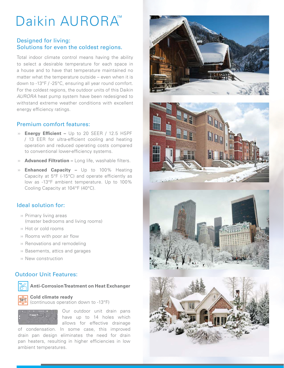# Daikin AURORA™

#### Designed for living: Solutions for even the coldest regions.

Total indoor climate control means having the ability to select a desirable temperature for each space in a house and to have that temperature maintained no matter what the temperature outside – even when it is down to -13°F / -25°C, ensuring all year round comfort. For the coldest regions, the outdoor units of this Daikin AURORA heat pump system have been redesigned to withstand extreme weather conditions with excellent energy efficiency ratings.

#### Premium comfort features:

- » **Energy Efficient –** Up to 20 SEER / 12.5 HSPF / 13 EER for ultra-efficient cooling and heating operation and reduced operating costs compared to conventional lower-efficiency systems.
- » **Advanced Filtration -** Long life, washable filters.
- ›› **Enhanced Capacity –** Up to 100% Heating Capacity at  $5^{\circ}F$  (-15 $^{\circ}C$ ) and operate efficiently as low as -13°F ambient temperature. Up to 100% Cooling Capacity at 104°F (40°C).

#### Ideal solution for:

- ›› Primary living areas (master bedrooms and living rooms)
- ›› Hot or cold rooms
- » Rooms with poor air flow
- ›› Renovations and remodeling
- ›› Basements, attics and garages
- ›› New construction

#### Outdoor Unit Features:



**Anti-Corrosion Treatment on Heat Exchanger** 

#### **-13ºF Cold climate ready**

(continuous operation down to -13°F)



Our outdoor unit drain pans have up to 14 holes which allows for effective drainage

of condensation. In some case, this improved drain pan design eliminates the need for drain pan heaters, resulting in higher efficiencies in low ambient temperatures.







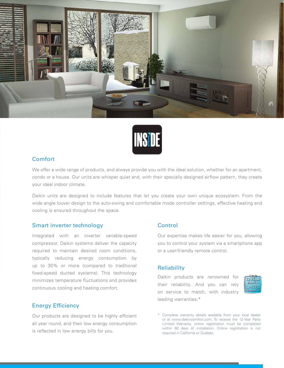



#### **Comfort**

We offer a wide range of products, and always provide you with the ideal solution, whether for an apartment, condo or a house. Our units are whisper quiet and, with their specially designed airflow pattern, they create your ideal indoor climate.

Daikin units are designed to include features that let you create your own unique ecosystem. From the wide angle louver design to the auto-swing and comfortable mode controller settings, effective heating and cooling is ensured throughout the space.

#### Smart inverter technology

Integrated with an inverter variable-speed compressor, Daikin systems deliver the capacity required to maintain desired room conditions, typically reducing energy consumption by up to 30% or more (compared to traditional fixed-speed ducted systems). This technology minimizes temperature fluctuations and provides continuous cooling and heating comfort.

#### Energy Efficiency

Our products are designed to be highly efficient all year round, and their low energy consumption is reflected in low energy bills for you.

#### **Control**

Our expertise makes life easier for you, allowing you to control your system via a smartphone app or a user-friendly remote control.

#### **Reliability**

Daikin products are renowned for their reliability. And you can rely on service to match, with industry leading warranties.\*



<sup>\*</sup> Complete warranty details available from your local dealer or at www.daikincomfort.com. To receive the 12-Year Parts Limited Warranty, online registration must be completed within 60 days of installation. Online registration is not required in California or Quebec.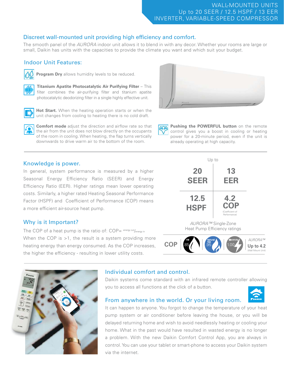### WALL-MOUNTED UNITS Up to 20 SEER / 12.5 HSPF / 13 EER INVERTER, VARIABLE-SPEED COMPRESSOR

### Discreet wall-mounted unit providing high efficiency and comfort.

The smooth panel of the AURORA indoor unit allows it to blend in with any decor. Whether your rooms are large or small, Daikin has units with the capacities to provide the climate you want and which suit your budget.

## Indoor Unit Features:



**Program Dry** allows humidity levels to be reduced.



**Titanium Apatite Photocatalytic Air Purifying Filter** – This filter combines the air-purifying filter and titanium apatite photocatalytic deodorizing filter in a single highly effective unit.



**Hot Start.** When the heating operation starts or when the unit changes from cooling to heating there is no cold draft.

**Comfort mode** adjust the direction and airflow rate so that the air from the unit does not blow directly on the occupants of the room in cooling. When heating, the flap turns vertically downwards to drive warm air to the bottom of the room.



**Pushing the POWERFUL button** on the remote control gives you a boost in cooling or heating power for a 20-minute period, even if the unit is already operating at high capacity.

#### Knowledge is power.

In general, system performance is measured by a higher Seasonal Energy Efficiency Ratio (SEER) and Energy Efficiency Ratio (EER). Higher ratings mean lower operating costs. Similarly, a higher rated Heating Seasonal Performance Factor (HSPF) and Coefficient of Performance (COP) means a more efficient air-source heat pump.

#### Why is it Important?

The COP of a heat pump is the ratio of:  $COP = \frac{energy \, out}{energy \, in}$ When the COP is >1, the result is a system providing more heating energy than energy consumed. As the COP increases, the higher the efficiency - resulting in lower utility costs.



# Individual comfort and control.

Daikin systems come standard with an infrared remote controller allowing you to access all functions at the click of a button.



#### From anywhere in the world. Or your living room.

It can happen to anyone. You forgot to change the temperature of your heat pump system or air conditioner before leaving the house, or you will be delayed returning home and wish to avoid needlessly heating or cooling your home. What in the past would have resulted in wasted energy is no longer a problem. With the new Daikin Comfort Control App, you are always in control. You can use your tablet or smart-phone to access your Daikin system via the internet.



AURORA™ Single-Zone Heat Pump Efficiency ratings